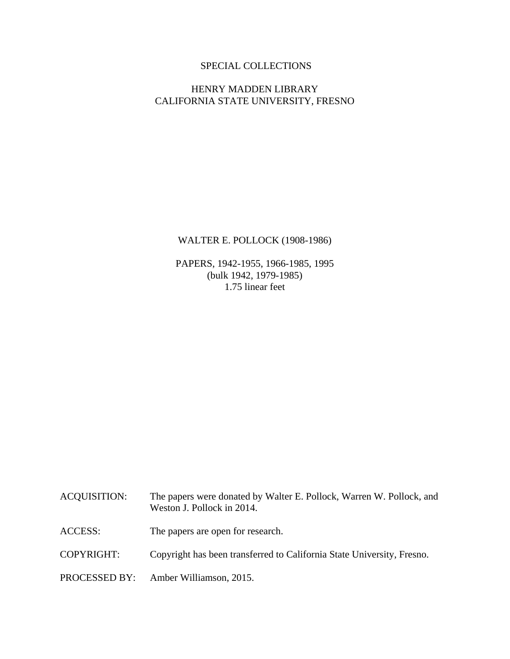# SPECIAL COLLECTIONS

## HENRY MADDEN LIBRARY CALIFORNIA STATE UNIVERSITY, FRESNO

## WALTER E. POLLOCK (1908-1986)

PAPERS, 1942-1955, 1966-1985, 1995 (bulk 1942, 1979-1985) 1.75 linear feet

| <b>ACQUISITION:</b> | The papers were donated by Walter E. Pollock, Warren W. Pollock, and<br>Weston J. Pollock in 2014. |
|---------------------|----------------------------------------------------------------------------------------------------|
| <b>ACCESS:</b>      | The papers are open for research.                                                                  |
| COPYRIGHT:          | Copyright has been transferred to California State University, Fresno.                             |
|                     | PROCESSED BY: Amber Williamson, 2015.                                                              |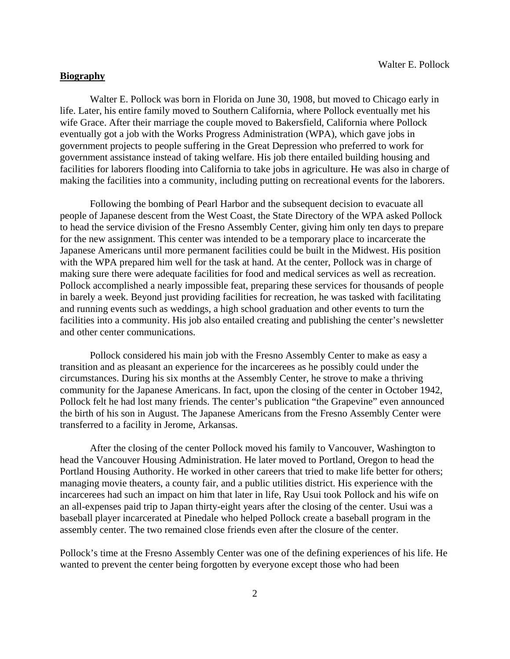## **Biography**

 Walter E. Pollock was born in Florida on June 30, 1908, but moved to Chicago early in life. Later, his entire family moved to Southern California, where Pollock eventually met his wife Grace. After their marriage the couple moved to Bakersfield, California where Pollock eventually got a job with the Works Progress Administration (WPA), which gave jobs in government projects to people suffering in the Great Depression who preferred to work for government assistance instead of taking welfare. His job there entailed building housing and facilities for laborers flooding into California to take jobs in agriculture. He was also in charge of making the facilities into a community, including putting on recreational events for the laborers.

 Following the bombing of Pearl Harbor and the subsequent decision to evacuate all people of Japanese descent from the West Coast, the State Directory of the WPA asked Pollock to head the service division of the Fresno Assembly Center, giving him only ten days to prepare for the new assignment. This center was intended to be a temporary place to incarcerate the Japanese Americans until more permanent facilities could be built in the Midwest. His position with the WPA prepared him well for the task at hand. At the center, Pollock was in charge of making sure there were adequate facilities for food and medical services as well as recreation. Pollock accomplished a nearly impossible feat, preparing these services for thousands of people in barely a week. Beyond just providing facilities for recreation, he was tasked with facilitating and running events such as weddings, a high school graduation and other events to turn the facilities into a community. His job also entailed creating and publishing the center's newsletter and other center communications.

 Pollock considered his main job with the Fresno Assembly Center to make as easy a transition and as pleasant an experience for the incarcerees as he possibly could under the circumstances. During his six months at the Assembly Center, he strove to make a thriving community for the Japanese Americans. In fact, upon the closing of the center in October 1942, Pollock felt he had lost many friends. The center's publication "the Grapevine" even announced the birth of his son in August. The Japanese Americans from the Fresno Assembly Center were transferred to a facility in Jerome, Arkansas.

 After the closing of the center Pollock moved his family to Vancouver, Washington to head the Vancouver Housing Administration. He later moved to Portland, Oregon to head the Portland Housing Authority. He worked in other careers that tried to make life better for others; managing movie theaters, a county fair, and a public utilities district. His experience with the incarcerees had such an impact on him that later in life, Ray Usui took Pollock and his wife on an all-expenses paid trip to Japan thirty-eight years after the closing of the center. Usui was a baseball player incarcerated at Pinedale who helped Pollock create a baseball program in the assembly center. The two remained close friends even after the closure of the center.

Pollock's time at the Fresno Assembly Center was one of the defining experiences of his life. He wanted to prevent the center being forgotten by everyone except those who had been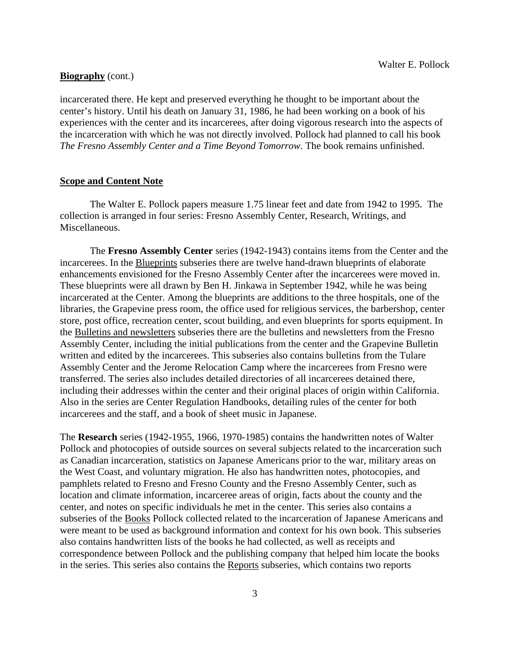## **Biography** (cont.)

incarcerated there. He kept and preserved everything he thought to be important about the center's history. Until his death on January 31, 1986, he had been working on a book of his experiences with the center and its incarcerees, after doing vigorous research into the aspects of the incarceration with which he was not directly involved. Pollock had planned to call his book *The Fresno Assembly Center and a Time Beyond Tomorrow*. The book remains unfinished.

## **Scope and Content Note**

The Walter E. Pollock papers measure 1.75 linear feet and date from 1942 to 1995. The collection is arranged in four series: Fresno Assembly Center, Research, Writings, and Miscellaneous.

The **Fresno Assembly Center** series (1942-1943) contains items from the Center and the incarcerees. In the Blueprints subseries there are twelve hand-drawn blueprints of elaborate enhancements envisioned for the Fresno Assembly Center after the incarcerees were moved in. These blueprints were all drawn by Ben H. Jinkawa in September 1942, while he was being incarcerated at the Center. Among the blueprints are additions to the three hospitals, one of the libraries, the Grapevine press room, the office used for religious services, the barbershop, center store, post office, recreation center, scout building, and even blueprints for sports equipment. In the Bulletins and newsletters subseries there are the bulletins and newsletters from the Fresno Assembly Center, including the initial publications from the center and the Grapevine Bulletin written and edited by the incarcerees. This subseries also contains bulletins from the Tulare Assembly Center and the Jerome Relocation Camp where the incarcerees from Fresno were transferred. The series also includes detailed directories of all incarcerees detained there, including their addresses within the center and their original places of origin within California. Also in the series are Center Regulation Handbooks, detailing rules of the center for both incarcerees and the staff, and a book of sheet music in Japanese.

The **Research** series (1942-1955, 1966, 1970-1985) contains the handwritten notes of Walter Pollock and photocopies of outside sources on several subjects related to the incarceration such as Canadian incarceration, statistics on Japanese Americans prior to the war, military areas on the West Coast, and voluntary migration. He also has handwritten notes, photocopies, and pamphlets related to Fresno and Fresno County and the Fresno Assembly Center, such as location and climate information, incarceree areas of origin, facts about the county and the center, and notes on specific individuals he met in the center. This series also contains a subseries of the Books Pollock collected related to the incarceration of Japanese Americans and were meant to be used as background information and context for his own book. This subseries also contains handwritten lists of the books he had collected, as well as receipts and correspondence between Pollock and the publishing company that helped him locate the books in the series. This series also contains the Reports subseries, which contains two reports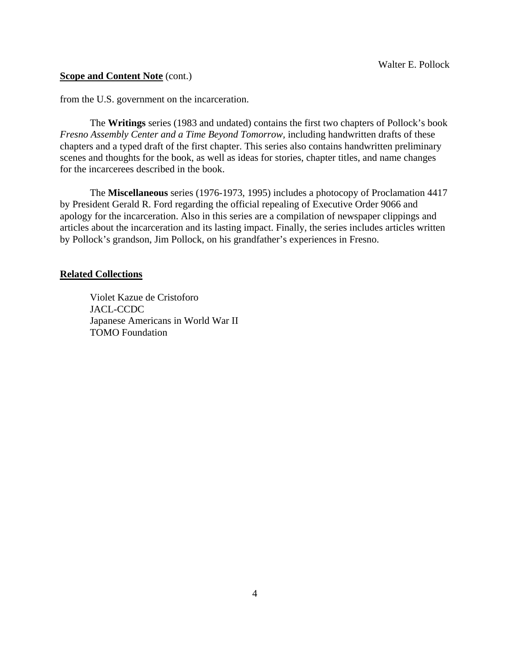### **Scope and Content Note** (cont.)

from the U.S. government on the incarceration.

 The **Writings** series (1983 and undated) contains the first two chapters of Pollock's book *Fresno Assembly Center and a Time Beyond Tomorrow,* including handwritten drafts of these chapters and a typed draft of the first chapter. This series also contains handwritten preliminary scenes and thoughts for the book, as well as ideas for stories, chapter titles, and name changes for the incarcerees described in the book.

 The **Miscellaneous** series (1976-1973, 1995) includes a photocopy of Proclamation 4417 by President Gerald R. Ford regarding the official repealing of Executive Order 9066 and apology for the incarceration. Also in this series are a compilation of newspaper clippings and articles about the incarceration and its lasting impact. Finally, the series includes articles written by Pollock's grandson, Jim Pollock, on his grandfather's experiences in Fresno.

### **Related Collections**

 Violet Kazue de Cristoforo JACL-CCDC Japanese Americans in World War II TOMO Foundation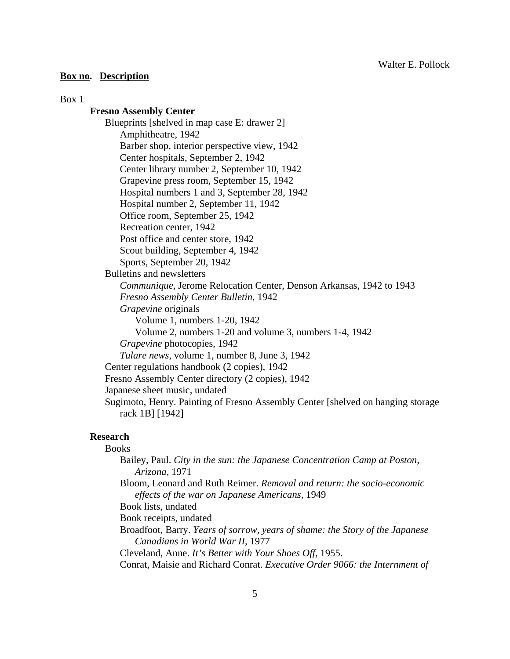### **Box no. Description**

#### Box 1

## **Fresno Assembly Center**

Blueprints [shelved in map case E: drawer 2] Amphitheatre, 1942 Barber shop, interior perspective view, 1942 Center hospitals, September 2, 1942 Center library number 2, September 10, 1942 Grapevine press room, September 15, 1942 Hospital numbers 1 and 3, September 28, 1942 Hospital number 2, September 11, 1942 Office room, September 25, 1942 Recreation center, 1942 Post office and center store, 1942 Scout building, September 4, 1942 Sports, September 20, 1942 Bulletins and newsletters *Communique*, Jerome Relocation Center, Denson Arkansas, 1942 to 1943 *Fresno Assembly Center Bulletin*, 1942 *Grapevine* originals Volume 1, numbers 1-20, 1942 Volume 2, numbers 1-20 and volume 3, numbers 1-4, 1942 *Grapevine* photocopies, 1942 *Tulare news*, volume 1, number 8, June 3, 1942 Center regulations handbook (2 copies), 1942 Fresno Assembly Center directory (2 copies), 1942 Japanese sheet music, undated Sugimoto, Henry. Painting of Fresno Assembly Center [shelved on hanging storage rack 1B] [1942]

### **Research**

### Books

 Bailey, Paul. *City in the sun: the Japanese Concentration Camp at Poston, Arizona,* 1971

 Bloom, Leonard and Ruth Reimer. *Removal and return: the socio-economic effects of the war on Japanese Americans,* 1949

Book lists, undated

Book receipts, undated

 Broadfoot, Barry. *Years of sorrow, years of shame: the Story of the Japanese Canadians in World War II,* 1977

Cleveland, Anne. *It's Better with Your Shoes Off,* 1955.

Conrat, Maisie and Richard Conrat. *Executive Order 9066: the Internment of*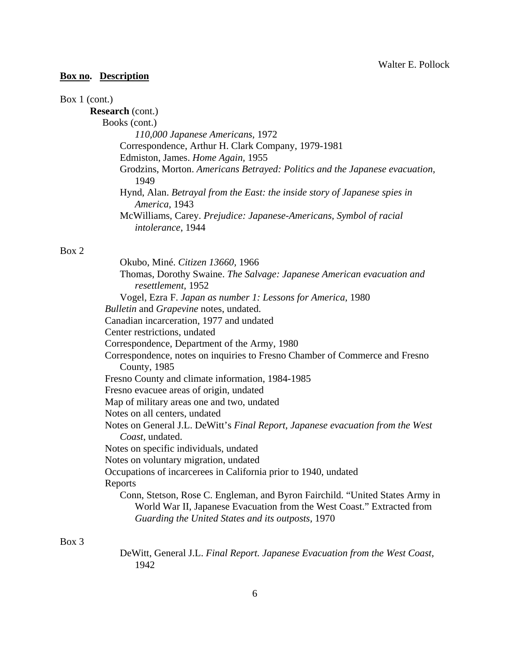# **Box no. Description**

# Box 1 (cont.)

| <b>Research</b> (cont.)                                                     |
|-----------------------------------------------------------------------------|
| Books (cont.)                                                               |
| 110,000 Japanese Americans, 1972                                            |
| Correspondence, Arthur H. Clark Company, 1979-1981                          |
| Edmiston, James. Home Again, 1955                                           |
| Grodzins, Morton. Americans Betrayed: Politics and the Japanese evacuation, |
| 1949                                                                        |
| Hynd, Alan. Betrayal from the East: the inside story of Japanese spies in   |
| America, 1943                                                               |
| McWilliams, Carey. Prejudice: Japanese-Americans, Symbol of racial          |
| <i>intolerance</i> , 1944                                                   |

# Box 2

| Okubo, Miné. Citizen 13660, 1966                                               |
|--------------------------------------------------------------------------------|
| Thomas, Dorothy Swaine. The Salvage: Japanese American evacuation and          |
| resettlement, 1952                                                             |
| Vogel, Ezra F. Japan as number 1: Lessons for America, 1980                    |
| Bulletin and Grapevine notes, undated.                                         |
| Canadian incarceration, 1977 and undated                                       |
| Center restrictions, undated                                                   |
| Correspondence, Department of the Army, 1980                                   |
| Correspondence, notes on inquiries to Fresno Chamber of Commerce and Fresno    |
| County, 1985                                                                   |
| Fresno County and climate information, 1984-1985                               |
| Fresno evacuee areas of origin, undated                                        |
| Map of military areas one and two, undated                                     |
| Notes on all centers, undated                                                  |
| Notes on General J.L. DeWitt's Final Report, Japanese evacuation from the West |
| Coast, undated.                                                                |
| Notes on specific individuals, undated                                         |
| Notes on voluntary migration, undated                                          |
| Occupations of incarcerees in California prior to 1940, undated                |
| Reports                                                                        |
| Conn, Stetson, Rose C. Engleman, and Byron Fairchild. "United States Army in   |
| World War II, Japanese Evacuation from the West Coast." Extracted from         |
| Guarding the United States and its outposts, 1970                              |
|                                                                                |

# Box 3

 DeWitt, General J.L. *Final Report. Japanese Evacuation from the West Coast,* 1942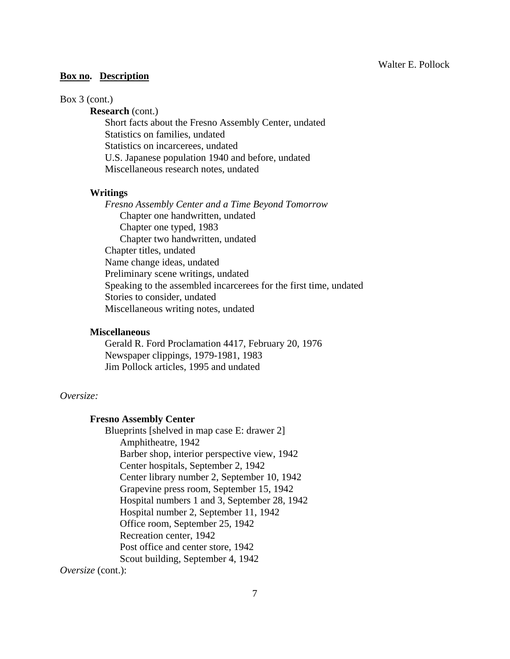### **Box no. Description**

### Box 3 (cont.)

**Research** (cont.)

 Short facts about the Fresno Assembly Center, undated Statistics on families, undated Statistics on incarcerees, undated U.S. Japanese population 1940 and before, undated Miscellaneous research notes, undated

### **Writings**

 *Fresno Assembly Center and a Time Beyond Tomorrow*  Chapter one handwritten, undated Chapter one typed, 1983 Chapter two handwritten, undated Chapter titles, undated Name change ideas, undated Preliminary scene writings, undated Speaking to the assembled incarcerees for the first time, undated Stories to consider, undated Miscellaneous writing notes, undated

### **Miscellaneous**

Gerald R. Ford Proclamation 4417, February 20, 1976 Newspaper clippings, 1979-1981, 1983 Jim Pollock articles, 1995 and undated

### *Oversize:*

### **Fresno Assembly Center**

 Blueprints [shelved in map case E: drawer 2] Amphitheatre, 1942 Barber shop, interior perspective view, 1942 Center hospitals, September 2, 1942 Center library number 2, September 10, 1942 Grapevine press room, September 15, 1942 Hospital numbers 1 and 3, September 28, 1942 Hospital number 2, September 11, 1942 Office room, September 25, 1942 Recreation center, 1942 Post office and center store, 1942 Scout building, September 4, 1942

*Oversize* (cont.):